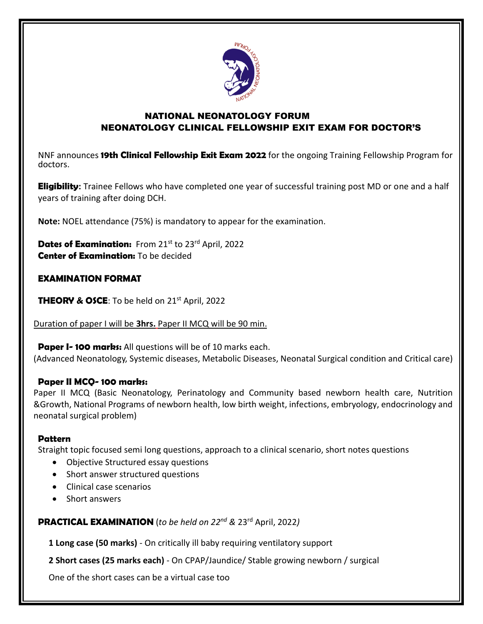

## NATIONAL NEONATOLOGY FORUM NEONATOLOGY CLINICAL FELLOWSHIP EXIT EXAM FOR DOCTOR'S

NNF announces **19th Clinical Fellowship Exit Exam 2022** for the ongoing Training Fellowship Program for doctors.

**Eligibility:** Trainee Fellows who have completed one year of successful training post MD or one and a half years of training after doing DCH.

**Note:** NOEL attendance (75%) is mandatory to appear for the examination.

**Dates of Examination:** From 21st to 23rd April, 2022 **Center of Examination:** To be decided

## **EXAMINATION FORMAT**

**THEORY & OSCE:** To be held on 21<sup>st</sup> April, 2022

Duration of paper I will be **3hrs.** Paper II MCQ will be 90 min.

**Paper I- 100 marks:** All questions will be of 10 marks each. (Advanced Neonatology, Systemic diseases, Metabolic Diseases, Neonatal Surgical condition and Critical care)

#### **Paper II MCQ- 100 marks:**

Paper II MCQ (Basic Neonatology, Perinatology and Community based newborn health care, Nutrition &Growth, National Programs of newborn health, low birth weight, infections, embryology, endocrinology and neonatal surgical problem)

#### **Pattern**

Straight topic focused semi long questions, approach to a clinical scenario, short notes questions

- Objective Structured essay questions
- Short answer structured questions
- Clinical case scenarios
- Short answers

**PRACTICAL EXAMINATION** (*to be held on 22nd &* 23rd April, 2022*)*

**1 Long case (50 marks)** - On critically ill baby requiring ventilatory support

**2 Short cases (25 marks each)** - On CPAP/Jaundice/ Stable growing newborn / surgical

One of the short cases can be a virtual case too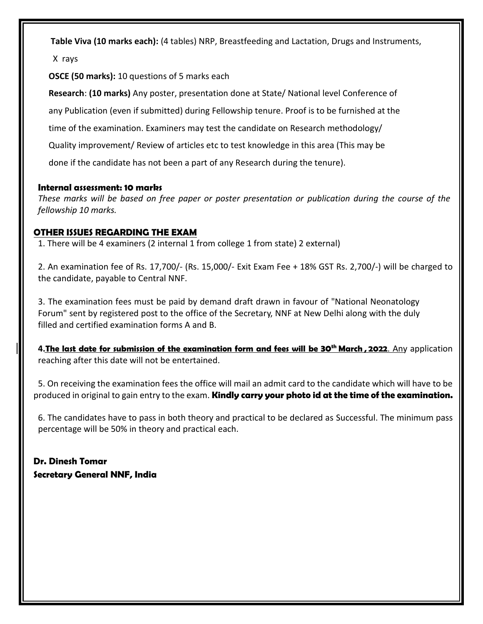**Table Viva (10 marks each):** (4 tables) NRP, Breastfeeding and Lactation, Drugs and Instruments,

X rays

**OSCE (50 marks):** 10 questions of 5 marks each

**Research**: **(10 marks)** Any poster, presentation done at State/ National level Conference of

any Publication (even if submitted) during Fellowship tenure. Proof is to be furnished at the

time of the examination. Examiners may test the candidate on Research methodology/

Quality improvement/ Review of articles etc to test knowledge in this area (This may be

done if the candidate has not been a part of any Research during the tenure).

### **Internal assessment: 10 marks**

*These marks will be based on free paper or poster presentation or publication during the course of the fellowship 10 marks.*

## **OTHER ISSUES REGARDING THE EXAM**

1. There will be 4 examiners (2 internal 1 from college 1 from state) 2 external)

2. An examination fee of Rs. 17,700/- (Rs. 15,000/- Exit Exam Fee + 18% GST Rs. 2,700/-) will be charged to the candidate, payable to Central NNF.

3. The examination fees must be paid by demand draft drawn in favour of "National Neonatology Forum" sent by registered post to the office of the Secretary, NNF at New Delhi along with the duly filled and certified examination forms A and B.

**4.The last date for submission of the examination form and fees will be 30th March , 2022**. Any application reaching after this date will not be entertained.

5. On receiving the examination fees the office will mail an admit card to the candidate which will have to be produced in original to gain entry to the exam. **Kindly carry your photo id at the time of the examination.**

6. The candidates have to pass in both theory and practical to be declared as Successful. The minimum pass percentage will be 50% in theory and practical each.

**Dr. Dinesh Tomar Secretary General NNF, India**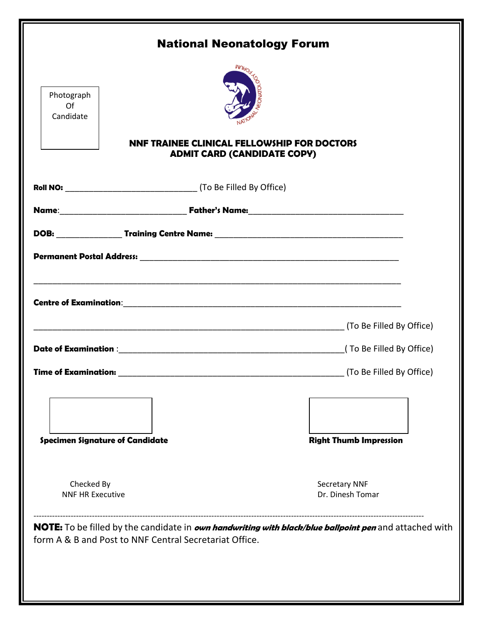| Photograph<br>Of<br>Candidate          |                                                        | <b>National Neonatology Forum</b><br><b>NNF TRAINEE CLINICAL FELLOWSHIP FOR DOCTORS</b>                |
|----------------------------------------|--------------------------------------------------------|--------------------------------------------------------------------------------------------------------|
|                                        |                                                        | <b>ADMIT CARD (CANDIDATE COPY)</b>                                                                     |
|                                        |                                                        |                                                                                                        |
|                                        |                                                        |                                                                                                        |
|                                        |                                                        |                                                                                                        |
|                                        |                                                        |                                                                                                        |
|                                        |                                                        |                                                                                                        |
| <b>Time of Examination:</b>            |                                                        | (To Be Filled By Office)                                                                               |
| <b>Specimen Signature of Candidate</b> |                                                        | <b>Right Thumb Impression</b>                                                                          |
| Checked By<br><b>NNF HR Executive</b>  |                                                        | <b>Secretary NNF</b><br>Dr. Dinesh Tomar                                                               |
|                                        | form A & B and Post to NNF Central Secretariat Office. | NOTE: To be filled by the candidate in own handwriting with black/blue ballpoint pen and attached with |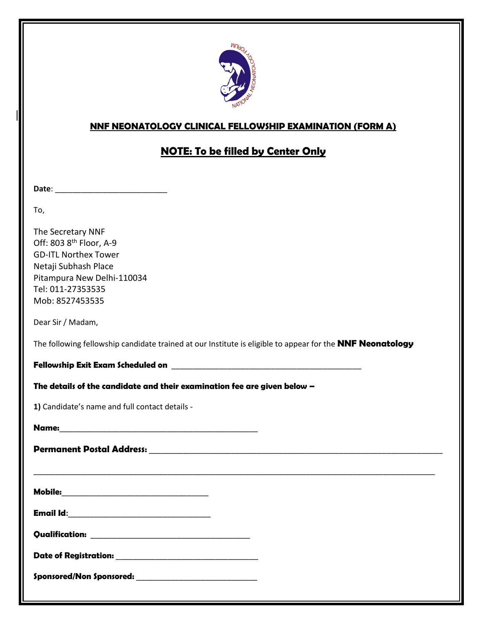

## **NNF NEONATOLOGY CLINICAL FELLOWSHIP EXAMINATION (FORM A)**

## **NOTE: To be filled by Center Only**

**Date**: \_\_\_\_\_\_\_\_\_\_\_\_\_\_\_\_\_\_\_\_\_\_\_\_\_\_

To,

The Secretary NNF Off: 803 8th Floor, A-9 GD-ITL Northex Tower Netaji Subhash Place Pitampura New Delhi-110034 Tel: 011-27353535 Mob: 8527453535

Dear Sir / Madam,

The following fellowship candidate trained at our Institute is eligible to appear for the **NNF Neonatology**

\_\_\_\_\_\_\_\_\_\_\_\_\_\_\_\_\_\_\_\_\_\_\_\_\_\_\_\_\_\_\_\_\_\_\_\_\_\_\_\_\_\_\_\_\_\_\_\_\_\_\_\_\_\_\_\_\_\_\_\_\_\_\_\_\_\_\_\_\_\_\_\_\_\_\_\_\_\_\_\_\_\_\_\_\_\_\_\_\_\_\_\_\_

**Fellowship Exit Exam Scheduled on** \_\_\_\_\_\_\_\_\_\_\_\_\_\_\_\_\_\_\_\_\_\_\_\_\_\_\_\_\_\_\_\_\_\_\_\_\_\_\_\_\_\_\_\_

**The details of the candidate and their examination fee are given below –**

**1)** Candidate's name and full contact details -

| Name: |  |  |  |
|-------|--|--|--|
|       |  |  |  |

| <b>Permanent Postal Address:</b> |  |
|----------------------------------|--|
|                                  |  |

**Mobile:**\_\_\_\_\_\_\_\_\_\_\_\_\_\_\_\_\_\_\_\_\_\_\_\_\_\_\_\_\_\_\_\_\_\_

**Email Id:**\_\_\_\_\_\_\_\_\_\_\_\_\_\_\_\_\_\_\_\_\_\_\_\_\_\_\_\_\_\_\_\_\_

**Qualification:** \_\_\_\_\_\_\_\_\_\_\_\_\_\_\_\_\_\_\_\_\_\_\_\_\_\_\_\_\_\_\_\_\_\_\_\_\_

**Date of Registration:** \_\_\_\_\_\_\_\_\_\_\_\_\_\_\_\_\_\_\_\_\_\_\_\_\_\_\_\_\_\_\_\_\_

**Sponsored/Non Sponsored:** \_\_\_\_\_\_\_\_\_\_\_\_\_\_\_\_\_\_\_\_\_\_\_\_\_\_\_\_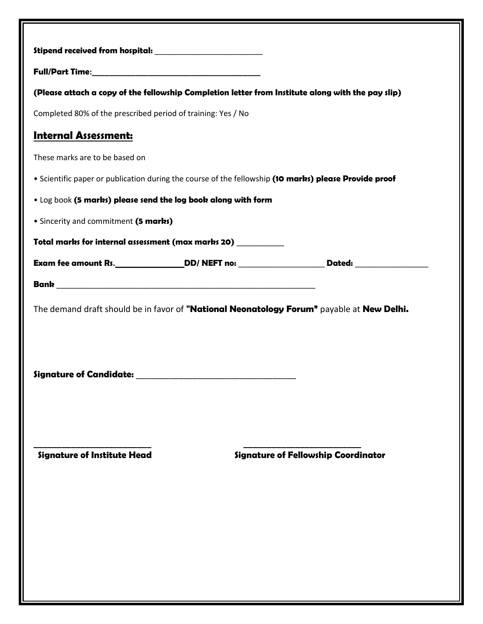| Stipend received from hospital: _________________________<br>(Please attach a copy of the fellowship Completion letter from Institute along with the pay slip)<br>Completed 80% of the prescribed period of training: Yes / No<br><b>Internal Assessment:</b><br>These marks are to be based on<br>. Scientific paper or publication during the course of the fellowship (10 marks) please Provide proof<br>. Log book (5 marks) please send the log book along with form<br>• Sincerity and commitment (5 marks)<br>Total marks for internal assessment (max marks 20)<br>Exam fee amount Rs.________________DD/ NEFT no: ________________________Dated: ____________________<br>The demand draft should be in favor of "National Neonatology Forum" payable at New Delhi.<br><b>Signature of Candidate:</b><br><b>Signature of Institute Head</b><br><b>Signature of Fellowship Coordinator</b> |  |  |
|---------------------------------------------------------------------------------------------------------------------------------------------------------------------------------------------------------------------------------------------------------------------------------------------------------------------------------------------------------------------------------------------------------------------------------------------------------------------------------------------------------------------------------------------------------------------------------------------------------------------------------------------------------------------------------------------------------------------------------------------------------------------------------------------------------------------------------------------------------------------------------------------------|--|--|
|                                                                                                                                                                                                                                                                                                                                                                                                                                                                                                                                                                                                                                                                                                                                                                                                                                                                                                   |  |  |
|                                                                                                                                                                                                                                                                                                                                                                                                                                                                                                                                                                                                                                                                                                                                                                                                                                                                                                   |  |  |
|                                                                                                                                                                                                                                                                                                                                                                                                                                                                                                                                                                                                                                                                                                                                                                                                                                                                                                   |  |  |
|                                                                                                                                                                                                                                                                                                                                                                                                                                                                                                                                                                                                                                                                                                                                                                                                                                                                                                   |  |  |
|                                                                                                                                                                                                                                                                                                                                                                                                                                                                                                                                                                                                                                                                                                                                                                                                                                                                                                   |  |  |
|                                                                                                                                                                                                                                                                                                                                                                                                                                                                                                                                                                                                                                                                                                                                                                                                                                                                                                   |  |  |
|                                                                                                                                                                                                                                                                                                                                                                                                                                                                                                                                                                                                                                                                                                                                                                                                                                                                                                   |  |  |
|                                                                                                                                                                                                                                                                                                                                                                                                                                                                                                                                                                                                                                                                                                                                                                                                                                                                                                   |  |  |
|                                                                                                                                                                                                                                                                                                                                                                                                                                                                                                                                                                                                                                                                                                                                                                                                                                                                                                   |  |  |
|                                                                                                                                                                                                                                                                                                                                                                                                                                                                                                                                                                                                                                                                                                                                                                                                                                                                                                   |  |  |
|                                                                                                                                                                                                                                                                                                                                                                                                                                                                                                                                                                                                                                                                                                                                                                                                                                                                                                   |  |  |
|                                                                                                                                                                                                                                                                                                                                                                                                                                                                                                                                                                                                                                                                                                                                                                                                                                                                                                   |  |  |
|                                                                                                                                                                                                                                                                                                                                                                                                                                                                                                                                                                                                                                                                                                                                                                                                                                                                                                   |  |  |
|                                                                                                                                                                                                                                                                                                                                                                                                                                                                                                                                                                                                                                                                                                                                                                                                                                                                                                   |  |  |
|                                                                                                                                                                                                                                                                                                                                                                                                                                                                                                                                                                                                                                                                                                                                                                                                                                                                                                   |  |  |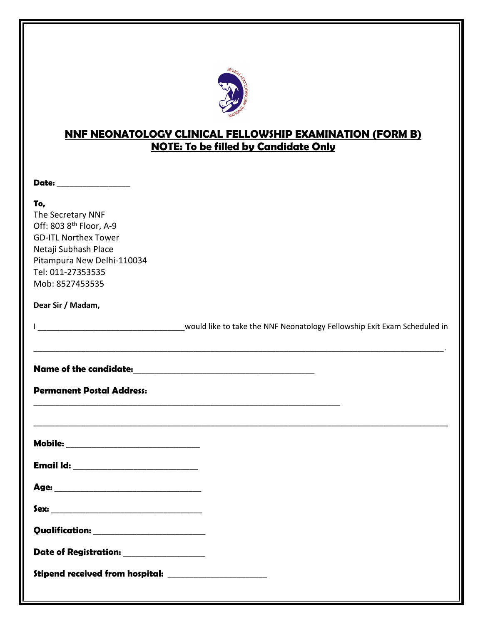

# **NNF NEONATOLOGY CLINICAL FELLOWSHIP EXAMINATION (FORM B) NOTE: To be filled by Candidate Only**

\_\_\_\_\_\_\_\_\_\_\_\_\_\_\_\_\_\_\_\_\_\_\_\_\_\_\_\_\_\_\_\_\_\_\_\_\_\_\_\_\_\_\_\_\_\_\_\_\_\_\_\_\_\_\_\_\_\_\_\_\_\_\_\_\_\_\_\_\_\_\_\_\_\_\_\_\_\_\_\_\_\_\_\_\_\_\_\_\_\_\_\_\_\_\_.

\_\_\_\_\_\_\_\_\_\_\_\_\_\_\_\_\_\_\_\_\_\_\_\_\_\_\_\_\_\_\_\_\_\_\_\_\_\_\_\_\_\_\_\_\_\_\_\_\_\_\_\_\_\_\_\_\_\_\_\_\_\_\_\_\_\_\_\_\_\_\_

\_\_\_\_\_\_\_\_\_\_\_\_\_\_\_\_\_\_\_\_\_\_\_\_\_\_\_\_\_\_\_\_\_\_\_\_\_\_\_\_\_\_\_\_\_\_\_\_\_\_\_\_\_\_\_\_\_\_\_\_\_\_\_\_\_\_\_\_\_\_\_\_\_\_\_\_\_\_\_\_\_\_\_\_\_\_\_\_\_\_\_\_\_\_\_\_

**Date:** \_\_\_\_\_\_\_\_\_\_\_\_\_\_\_\_\_

### **To,**

The Secretary NNF Off: 803 8th Floor, A-9 GD-ITL Northex Tower Netaji Subhash Place Pitampura New Delhi-110034 Tel: 011-27353535 Mob: 8527453535

**Dear Sir / Madam,**

I consider the NNF Neonatology Fellowship Exit Exam Scheduled in

**Name of the candidate:**\_\_\_\_\_\_\_\_\_\_\_\_\_\_\_\_\_\_\_\_\_\_\_\_\_\_\_\_\_\_\_\_\_\_\_\_\_\_\_\_\_\_

**Permanent Postal Address:**

| <b>Mobile:</b> |  |  |
|----------------|--|--|
|                |  |  |

**Email Id:** \_\_\_\_\_\_\_\_\_\_\_\_\_\_\_\_\_\_\_\_\_\_\_\_\_\_\_\_\_

**Age:** \_\_\_\_\_\_\_\_\_\_\_\_\_\_\_\_\_\_\_\_\_\_\_\_\_\_\_\_\_\_\_\_\_\_

**Sex:** \_\_\_\_\_\_\_\_\_\_\_\_\_\_\_\_\_\_\_\_\_\_\_\_\_\_\_\_\_\_\_\_\_\_\_

**Qualification:** \_\_\_\_\_\_\_\_\_\_\_\_\_\_\_\_\_\_\_\_\_\_\_\_\_\_

| <b>Date of Registration:</b> |  |
|------------------------------|--|
|------------------------------|--|

**Stipend received from hospital:** \_\_\_\_\_\_\_\_\_\_\_\_\_\_\_\_\_\_\_\_\_\_\_